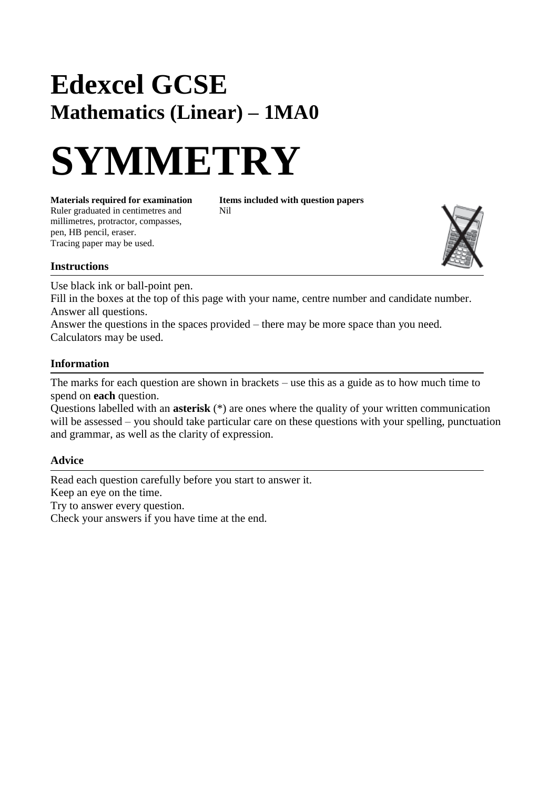# **Edexcel GCSE Mathematics (Linear) – 1MA0**



**Materials required for examination Items included with question papers**<br>Ruler graduated in centimetres and **Nil** Ruler graduated in centimetres and millimetres, protractor, compasses, pen, HB pencil, eraser. Tracing paper may be used.



#### **Instructions**

Use black ink or ball-point pen.

Fill in the boxes at the top of this page with your name, centre number and candidate number. Answer all questions.

Answer the questions in the spaces provided – there may be more space than you need. Calculators may be used.

## **Information**

The marks for each question are shown in brackets – use this as a guide as to how much time to spend on **each** question.

Questions labelled with an **asterisk** (\*) are ones where the quality of your written communication will be assessed – you should take particular care on these questions with your spelling, punctuation and grammar, as well as the clarity of expression.

## **Advice**

Read each question carefully before you start to answer it. Keep an eye on the time. Try to answer every question. Check your answers if you have time at the end.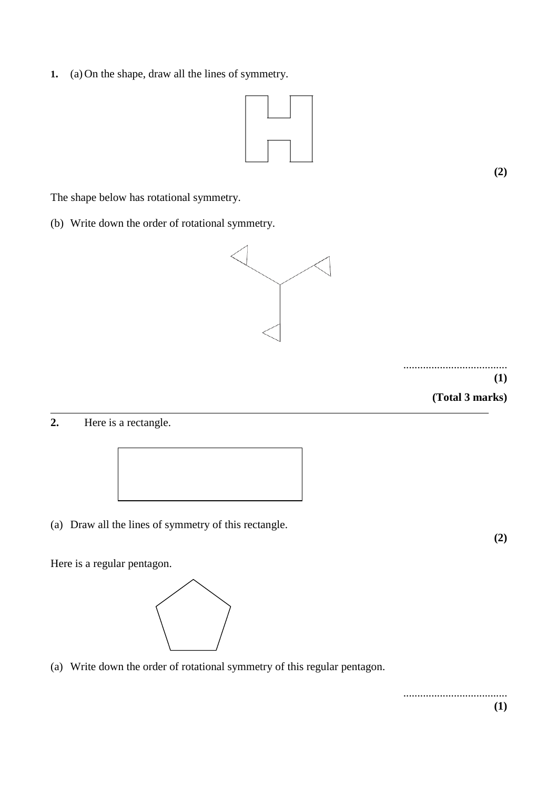**1.** (a) On the shape, draw all the lines of symmetry.



**(2)**

The shape below has rotational symmetry.

(b) Write down the order of rotational symmetry.



.....................................

**(1)**

**(Total 3 marks)**

**2.** Here is a rectangle.



(a) Draw all the lines of symmetry of this rectangle.

Here is a regular pentagon.



(a) Write down the order of rotational symmetry of this regular pentagon.

..................................... **(1)**

**(2)**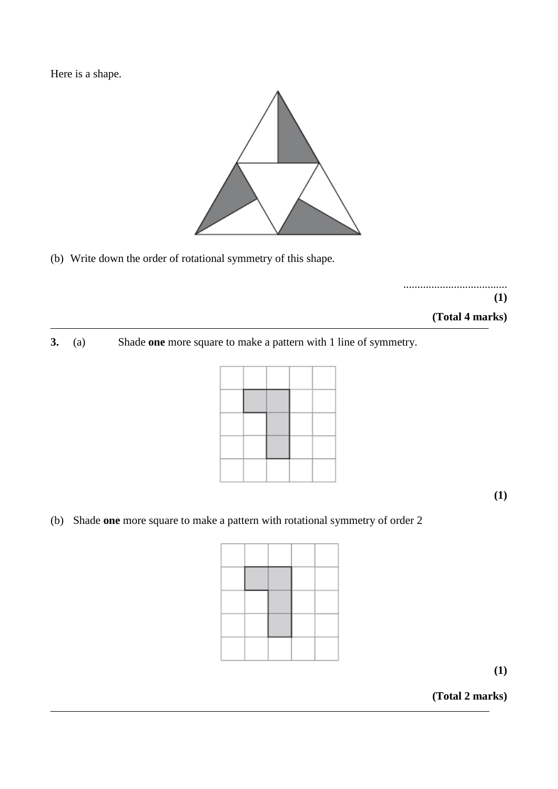Here is a shape.



(b) Write down the order of rotational symmetry of this shape.

..................................... **(1) (Total 4 marks)**

**3.** (a) Shade **one** more square to make a pattern with 1 line of symmetry.



**(1)**

(b) Shade **one** more square to make a pattern with rotational symmetry of order 2

**(1)**

**(Total 2 marks)**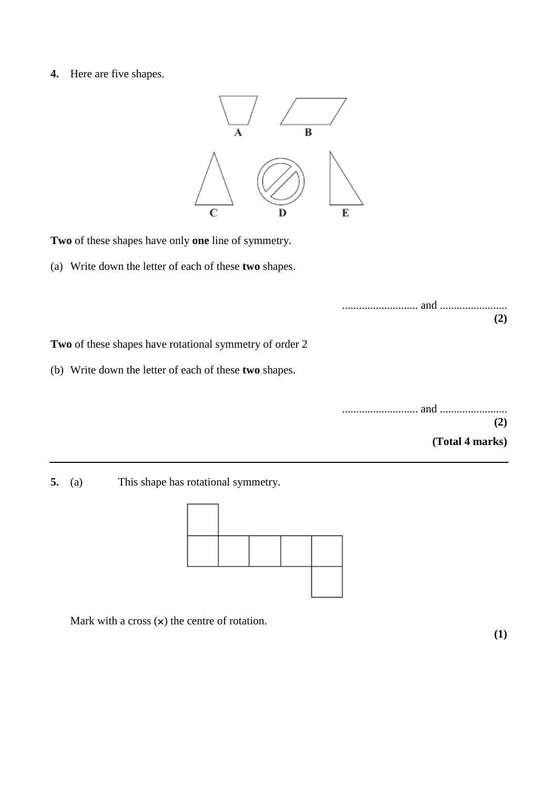**4.** Here are five shapes.



**Two** of these shapes have only **one** line of symmetry.

(a) Write down the letter of each of these **two** shapes.

**Two** of these shapes have rotational symmetry of order 2

(b) Write down the letter of each of these **two** shapes.

| (2)             |  |
|-----------------|--|
| (Total 4 marks) |  |

**5.** (a) This shape has rotational symmetry.



Mark with a cross  $(x)$  the centre of rotation.

**(1)**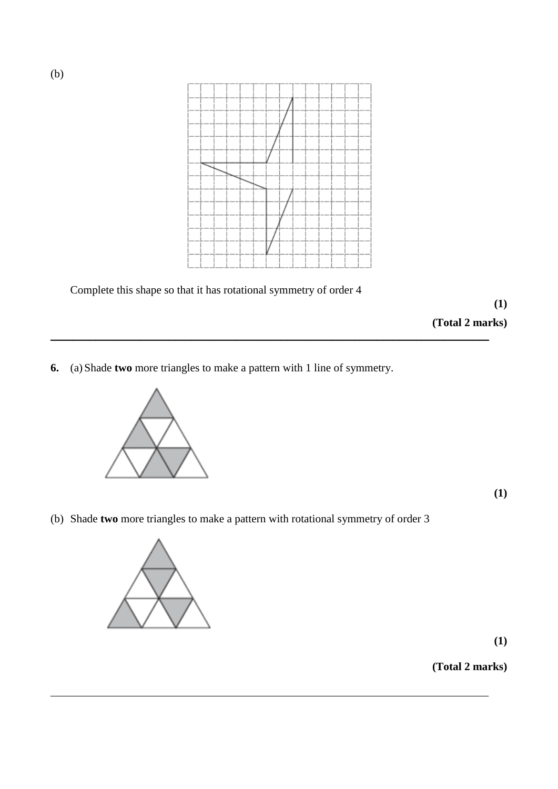

 $\_$  , and the set of the set of the set of the set of the set of the set of the set of the set of the set of the set of the set of the set of the set of the set of the set of the set of the set of the set of the set of th

Complete this shape so that it has rotational symmetry of order 4

**(1)**

**(Total 2 marks)**

**6.** (a) Shade **two** more triangles to make a pattern with 1 line of symmetry.



**(1)**

(b) Shade **two** more triangles to make a pattern with rotational symmetry of order 3



**(1)**

**(Total 2 marks)**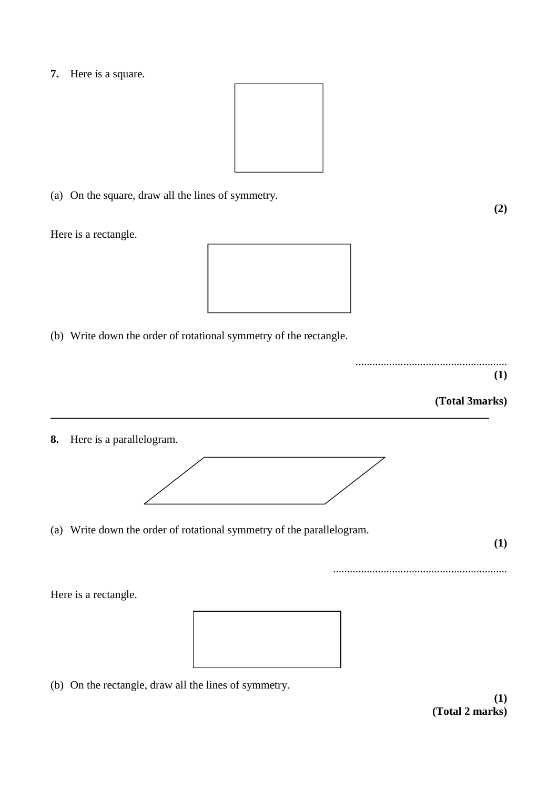**7.** Here is a square.



(a) On the square, draw all the lines of symmetry.

Here is a rectangle.



(b) Write down the order of rotational symmetry of the rectangle.



..............................................................

#### **(Total 3marks)**

**8.** Here is a parallelogram.



**\_\_\_\_\_\_\_\_\_\_\_\_\_\_\_\_\_\_\_\_\_\_\_\_\_\_\_\_\_\_\_\_\_\_\_\_\_\_\_\_\_\_\_\_\_\_\_\_\_\_\_\_\_\_\_\_\_\_\_\_\_\_\_\_\_\_\_\_\_\_\_\_\_\_\_\_\_\_**

(a) Write down the order of rotational symmetry of the parallelogram.

**(1)**

Here is a rectangle.



(b) On the rectangle, draw all the lines of symmetry.

**(1) (Total 2 marks)**

**(2)**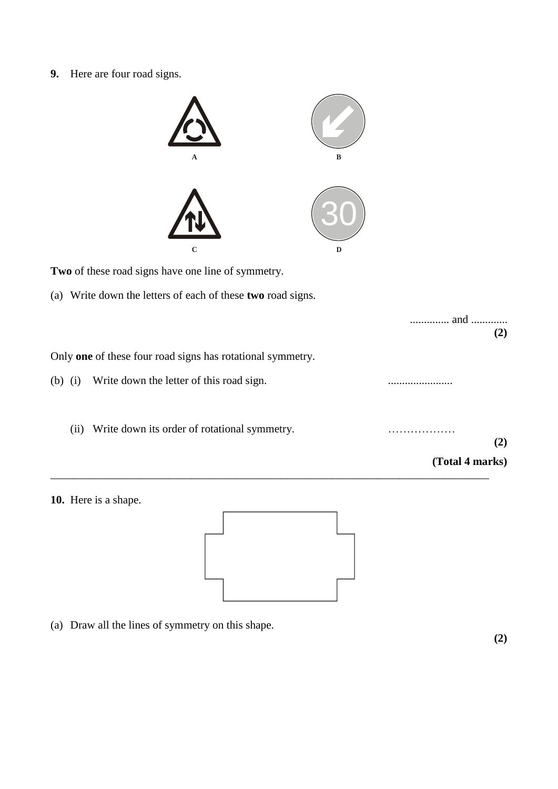**9.** Here are four road signs.



**Two** of these road signs have one line of symmetry.

(a) Write down the letters of each of these **two** road signs.

|           |                                                            | and<br>(2)      |
|-----------|------------------------------------------------------------|-----------------|
|           | Only one of these four road signs has rotational symmetry. |                 |
| $(b)$ (i) | Write down the letter of this road sign.                   |                 |
| (i)       | Write down its order of rotational symmetry.               | (2)             |
|           |                                                            | (Total 4 marks) |





(a) Draw all the lines of symmetry on this shape.

**(2)**